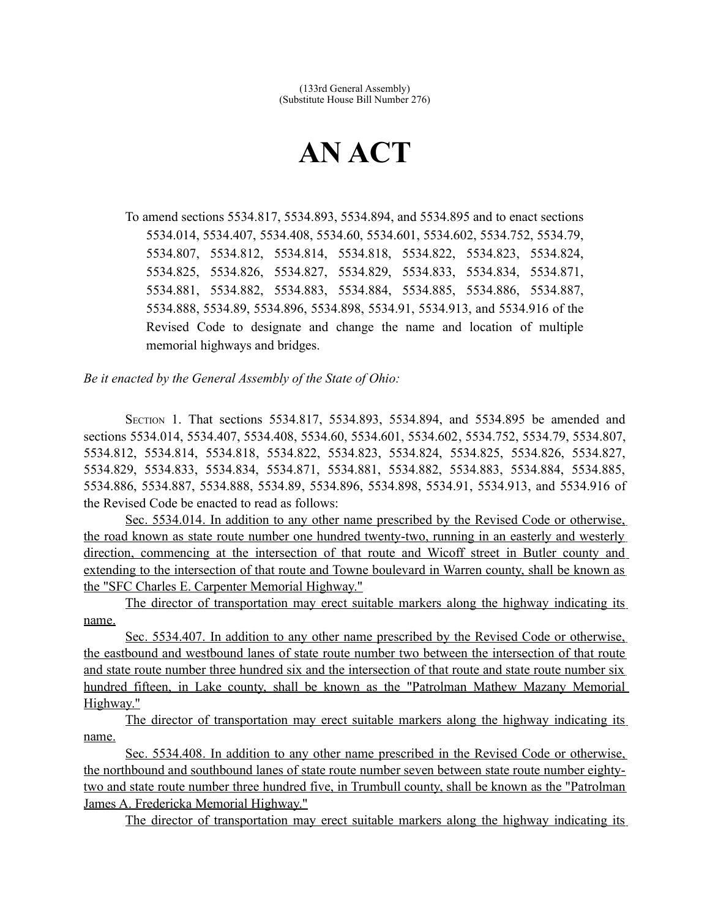## **AN ACT**

To amend sections 5534.817, 5534.893, 5534.894, and 5534.895 and to enact sections 5534.014, 5534.407, 5534.408, 5534.60, 5534.601, 5534.602, 5534.752, 5534.79, 5534.807, 5534.812, 5534.814, 5534.818, 5534.822, 5534.823, 5534.824, 5534.825, 5534.826, 5534.827, 5534.829, 5534.833, 5534.834, 5534.871, 5534.881, 5534.882, 5534.883, 5534.884, 5534.885, 5534.886, 5534.887, 5534.888, 5534.89, 5534.896, 5534.898, 5534.91, 5534.913, and 5534.916 of the Revised Code to designate and change the name and location of multiple memorial highways and bridges.

*Be it enacted by the General Assembly of the State of Ohio:*

SECTION 1. That sections 5534.817, 5534.893, 5534.894, and 5534.895 be amended and sections 5534.014, 5534.407, 5534.408, 5534.60, 5534.601, 5534.602, 5534.752, 5534.79, 5534.807, 5534.812, 5534.814, 5534.818, 5534.822, 5534.823, 5534.824, 5534.825, 5534.826, 5534.827, 5534.829, 5534.833, 5534.834, 5534.871, 5534.881, 5534.882, 5534.883, 5534.884, 5534.885, 5534.886, 5534.887, 5534.888, 5534.89, 5534.896, 5534.898, 5534.91, 5534.913, and 5534.916 of the Revised Code be enacted to read as follows:

Sec. 5534.014. In addition to any other name prescribed by the Revised Code or otherwise, the road known as state route number one hundred twenty-two, running in an easterly and westerly direction, commencing at the intersection of that route and Wicoff street in Butler county and extending to the intersection of that route and Towne boulevard in Warren county, shall be known as the "SFC Charles E. Carpenter Memorial Highway."

The director of transportation may erect suitable markers along the highway indicating its name.

 Sec. 5534.407. In addition to any other name prescribed by the Revised Code or otherwise, the eastbound and westbound lanes of state route number two between the intersection of that route and state route number three hundred six and the intersection of that route and state route number six hundred fifteen, in Lake county, shall be known as the "Patrolman Mathew Mazany Memorial Highway."

The director of transportation may erect suitable markers along the highway indicating its name.

 Sec. 5534.408. In addition to any other name prescribed in the Revised Code or otherwise, the northbound and southbound lanes of state route number seven between state route number eightytwo and state route number three hundred five, in Trumbull county, shall be known as the "Patrolman James A. Fredericka Memorial Highway."

The director of transportation may erect suitable markers along the highway indicating its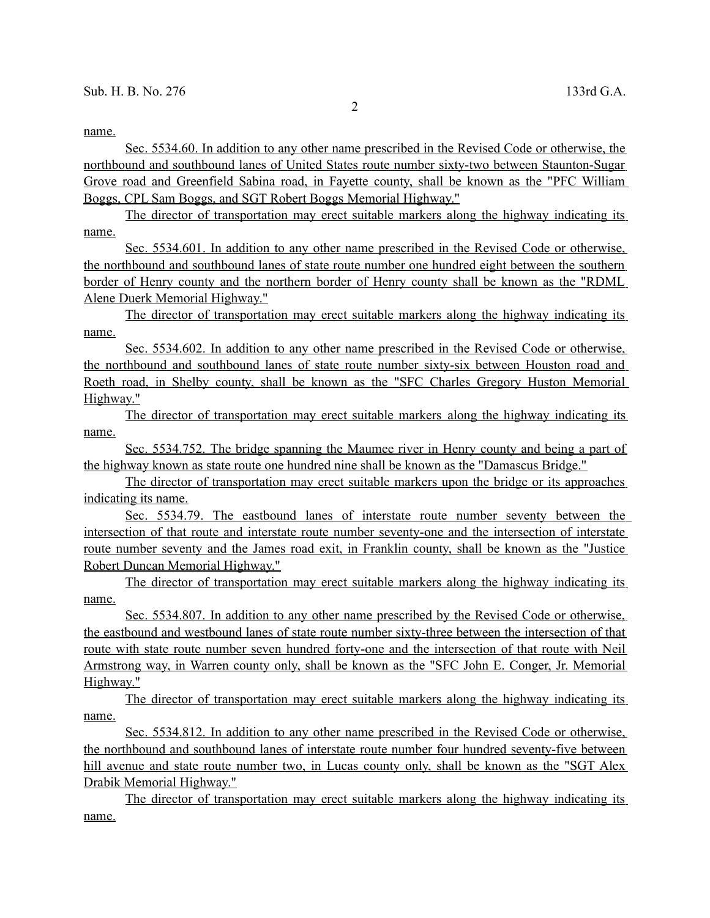## name.

 Sec. 5534.60. In addition to any other name prescribed in the Revised Code or otherwise, the northbound and southbound lanes of United States route number sixty-two between Staunton-Sugar Grove road and Greenfield Sabina road, in Fayette county, shall be known as the "PFC William Boggs , CPL Sam Boggs, and SGT Robert Boggs Memorial Highway."

The director of transportation may erect suitable markers along the highway indicating its name.

Sec. 5534.601. In addition to any other name prescribed in the Revised Code or otherwise, the northbound and southbound lanes of state route number one hundred eight between the southern border of Henry county and the northern border of Henry county shall be known as the "RDML Alene Duerk Memorial Highway."

The director of transportation may erect suitable markers along the highway indicating its name.

 Sec. 5534.602. In addition to any other name prescribed in the Revised Code or otherwise, the northbound and southbound lanes of state route number sixty-six between Houston road and Roeth road, in Shelby county, shall be known as the "SFC Charles Gregory Huston Memorial Highway."

 The director of transportation may erect suitable markers along the highway indicating its name.

 Sec. 5534.752. The bridge spanning the Maumee river in Henry county and being a part of the highway known as state route one hundred nine shall be known as the "Damascus Bridge."

The director of transportation may erect suitable markers upon the bridge or its approaches indicating its name.

Sec. 5534.79. The eastbound lanes of interstate route number seventy between the intersection of that route and interstate route number seventy-one and the intersection of interstate route number seventy and the James road exit, in Franklin county, shall be known as the "Justice Robert Duncan Memorial Highway."

The director of transportation may erect suitable markers along the highway indicating its name.

 Sec. 5534.807. In addition to any other name prescribed by the Revised Code or otherwise, the eastbound and westbound lanes of state route number sixty-three between the intersection of that route with state route number seven hundred forty-one and the intersection of that route with Neil Armstrong way, in Warren county only, shall be known as the "SFC John E. Conger, Jr. Memorial Highway."

The director of transportation may erect suitable markers along the highway indicating its name.

 Sec. 5534.812. In addition to any other name prescribed in the Revised Code or otherwise, the northbound and southbound lanes of interstate route number four hundred seventy-five between hill avenue and state route number two, in Lucas county only, shall be known as the "SGT Alex Drabik Memorial Highway."

The director of transportation may erect suitable markers along the highway indicating its name.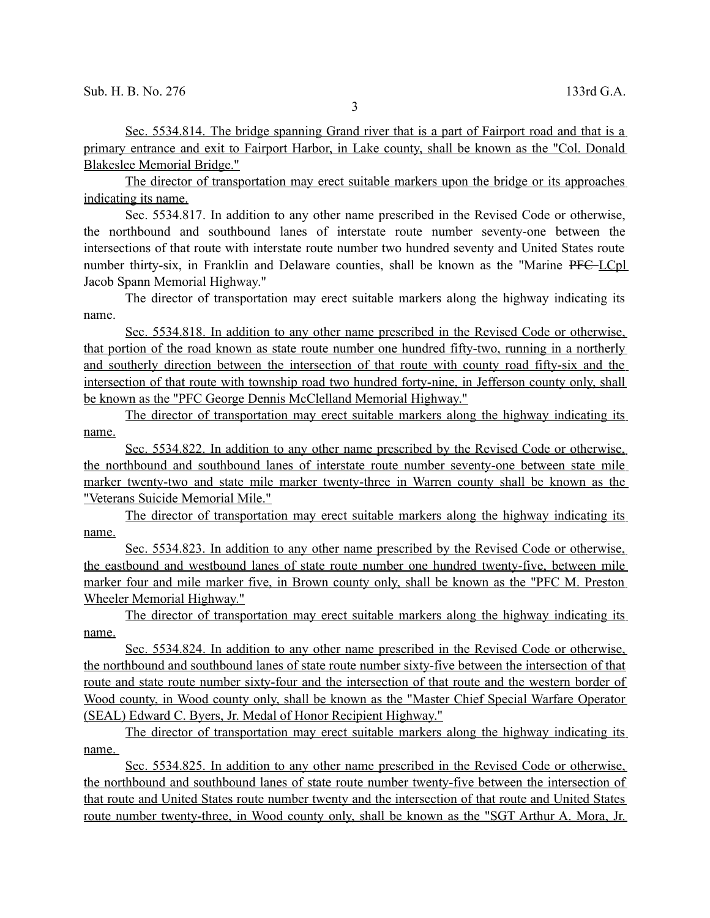Sec. 5534.814. The bridge spanning Grand river that is a part of Fairport road and that is a primary entrance and exit to Fairport Harbor, in Lake county, shall be known as the "Col. Donald Blakeslee Memorial Bridge."

The director of transportation may erect suitable markers upon the bridge or its approaches indicating its name.

Sec. 5534.817. In addition to any other name prescribed in the Revised Code or otherwise, the northbound and southbound lanes of interstate route number seventy-one between the intersections of that route with interstate route number two hundred seventy and United States route number thirty-six, in Franklin and Delaware counties, shall be known as the "Marine PFC LCpl Jacob Spann Memorial Highway."

The director of transportation may erect suitable markers along the highway indicating its name.

 Sec. 5534.818. In addition to any other name prescribed in the Revised Code or otherwise, that portion of the road known as state route number one hundred fifty-two, running in a northerly and southerly direction between the intersection of that route with county road fifty-six and the intersection of that route with township road two hundred forty-nine, in Jefferson county only, shall be known as the "PFC George Dennis McClelland Memorial Highway."

The director of transportation may erect suitable markers along the highway indicating its name.

 Sec. 5534.822. In addition to any other name prescribed by the Revised Code or otherwise, the northbound and southbound lanes of interstate route number seventy-one between state mile marker twenty-two and state mile marker twenty-three in Warren county shall be known as the "Veterans Suicide Memorial Mile."

The director of transportation may erect suitable markers along the highway indicating its name.

Sec. 5534.823. In addition to any other name prescribed by the Revised Code or otherwise, the eastbound and westbound lanes of state route number one hundred twenty-five, between mile marker four and mile marker five, in Brown county only, shall be known as the "PFC M. Preston Wheeler Memorial Highway."

The director of transportation may erect suitable markers along the highway indicating its name.

Sec. 5534.824. In addition to any other name prescribed in the Revised Code or otherwise, the northbound and southbound lanes of state route number sixty-five between the intersection of that route and state route number sixty-four and the intersection of that route and the western border of Wood county, in Wood county only, shall be known as the "Master Chief Special Warfare Operator (SEAL) Edward C. Byers, Jr. Medal of Honor Recipient Highway."

The director of transportation may erect suitable markers along the highway indicating its name.

 Sec. 5534.825. In addition to any other name prescribed in the Revised Code or otherwise, the northbound and southbound lanes of state route number twenty-five between the intersection of that route and United States route number twenty and the intersection of that route and United States route number twenty-three, in Wood county only, shall be known as the "SGT Arthur A. Mora, Jr.

3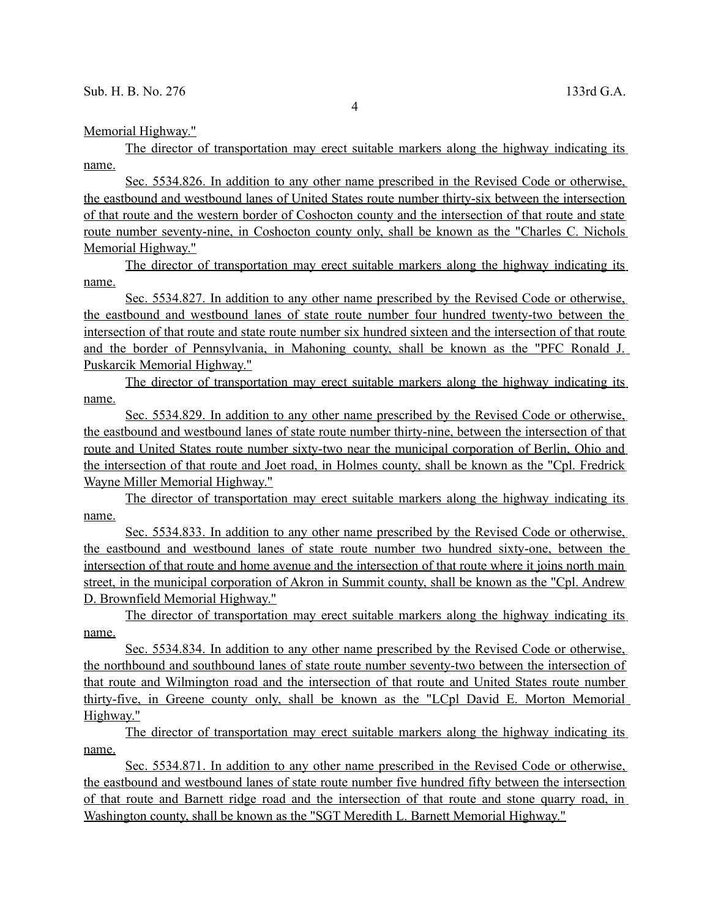Memorial Highway."

The director of transportation may erect suitable markers along the highway indicating its name.

 Sec. 5534.826. In addition to any other name prescribed in the Revised Code or otherwise, the eastbound and westbound lanes of United States route number thirty-six between the intersection of that route and the western border of Coshocton county and the intersection of that route and state route number seventy-nine, in Coshocton county only, shall be known as the "Charles C. Nichols Memorial Highway."

The director of transportation may erect suitable markers along the highway indicating its name.

 Sec. 5534.827. In addition to any other name prescribed by the Revised Code or otherwise, the eastbound and westbound lanes of state route number four hundred twenty-two between the intersection of that route and state route number six hundred sixteen and the intersection of that route and the border of Pennsylvania, in Mahoning county, shall be known as the "PFC Ronald J. Puskarcik Memorial Highway."

The director of transportation may erect suitable markers along the highway indicating its name.

 Sec. 5534.829. In addition to any other name prescribed by the Revised Code or otherwise, the eastbound and westbound lanes of state route number thirty-nine, between the intersection of that route and United States route number sixty-two near the municipal corporation of Berlin, Ohio and the intersection of that route and Joet road, in Holmes county, shall be known as the "Cpl. Fredrick Wayne Miller Memorial Highway."

The director of transportation may erect suitable markers along the highway indicating its name.

Sec. 5534.833. In addition to any other name prescribed by the Revised Code or otherwise, the eastbound and westbound lanes of state route number two hundred sixty-one, between the intersection of that route and home avenue and the intersection of that route where it joins north main street, in the municipal corporation of Akron in Summit county, shall be known as the "Cpl. Andrew D. Brownfield Memorial Highway."

The director of transportation may erect suitable markers along the highway indicating its name.

 Sec. 5534.834. In addition to any other name prescribed by the Revised Code or otherwise, the northbound and southbound lanes of state route number seventy-two between the intersection of that route and Wilmington road and the intersection of that route and United States route number thirty-five, in Greene county only, shall be known as the "LCpl David E. Morton Memorial Highway."

The director of transportation may erect suitable markers along the highway indicating its name.

 Sec. 5534.871. In addition to any other name prescribed in the Revised Code or otherwise, the eastbound and westbound lanes of state route number five hundred fifty between the intersection of that route and Barnett ridge road and the intersection of that route and stone quarry road, in Washington county, shall be known as the "SGT Meredith L. Barnett Memorial Highway."

4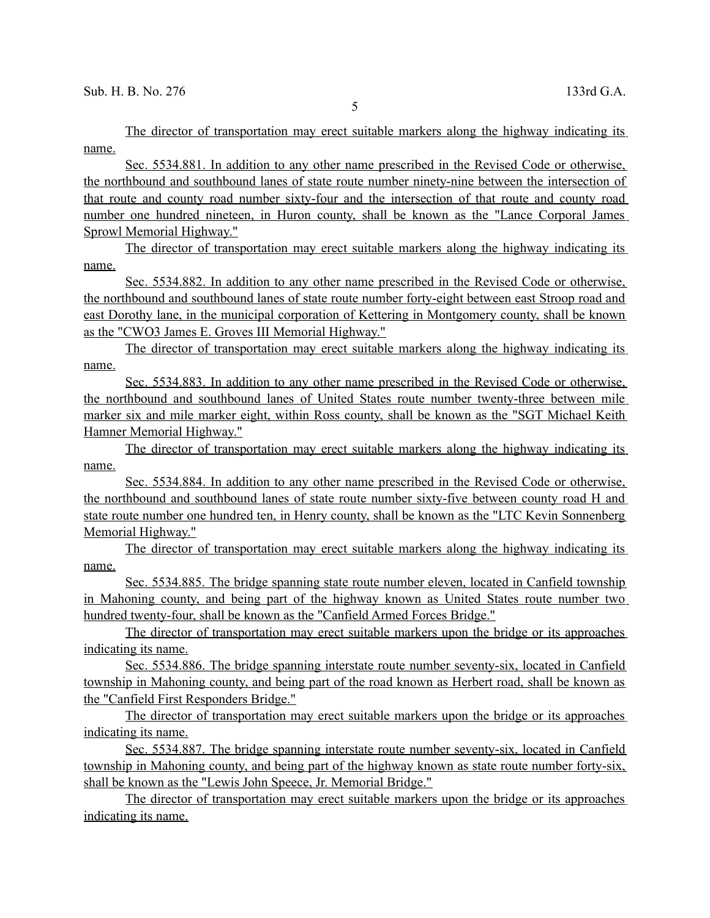The director of transportation may erect suitable markers along the highway indicating its name.

Sec. 5534.881. In addition to any other name prescribed in the Revised Code or otherwise, the northbound and southbound lanes of state route number ninety-nine between the intersection of that route and county road number sixty-four and the intersection of that route and county road number one hundred nineteen, in Huron county, shall be known as the "Lance Corporal James Sprowl Memorial Highway."

The director of transportation may erect suitable markers along the highway indicating its name.

 Sec. 5534.882. In addition to any other name prescribed in the Revised Code or otherwise, the northbound and southbound lanes of state route number forty-eight between east Stroop road and east Dorothy lane, in the municipal corporation of Kettering in Montgomery county, shall be known as the "CWO3 James E. Groves III Memorial Highway."

The director of transportation may erect suitable markers along the highway indicating its name.

 Sec. 5534.883. In addition to any other name prescribed in the Revised Code or otherwise, the northbound and southbound lanes of United States route number twenty-three between mile marker six and mile marker eight, within Ross county, shall be known as the "SGT Michael Keith Hamner Memorial Highway."

The director of transportation may erect suitable markers along the highway indicating its name.

 Sec. 5534.884. In addition to any other name prescribed in the Revised Code or otherwise, the northbound and southbound lanes of state route number sixty-five between county road H and state route number one hundred ten, in Henry county, shall be known as the "LTC Kevin Sonnenberg Memorial Highway."

The director of transportation may erect suitable markers along the highway indicating its name.

 Sec. 5534.885. The bridge spanning state route number eleven, located in Canfield township in Mahoning county, and being part of the highway known as United States route number two hundred twenty-four, shall be known as the "Canfield Armed Forces Bridge."

The director of transportation may erect suitable markers upon the bridge or its approaches indicating its name.

 Sec. 5534.886. The bridge spanning interstate route number seventy-six, located in Canfield township in Mahoning county, and being part of the road known as Herbert road, shall be known as the "Canfield First Responders Bridge."

The director of transportation may erect suitable markers upon the bridge or its approaches indicating its name.

 Sec. 5534.887. The bridge spanning interstate route number seventy-six, located in Canfield township in Mahoning county, and being part of the highway known as state route number forty-six, shall be known as the "Lewis John Speece, Jr. Memorial Bridge."

The director of transportation may erect suitable markers upon the bridge or its approaches indicating its name.

5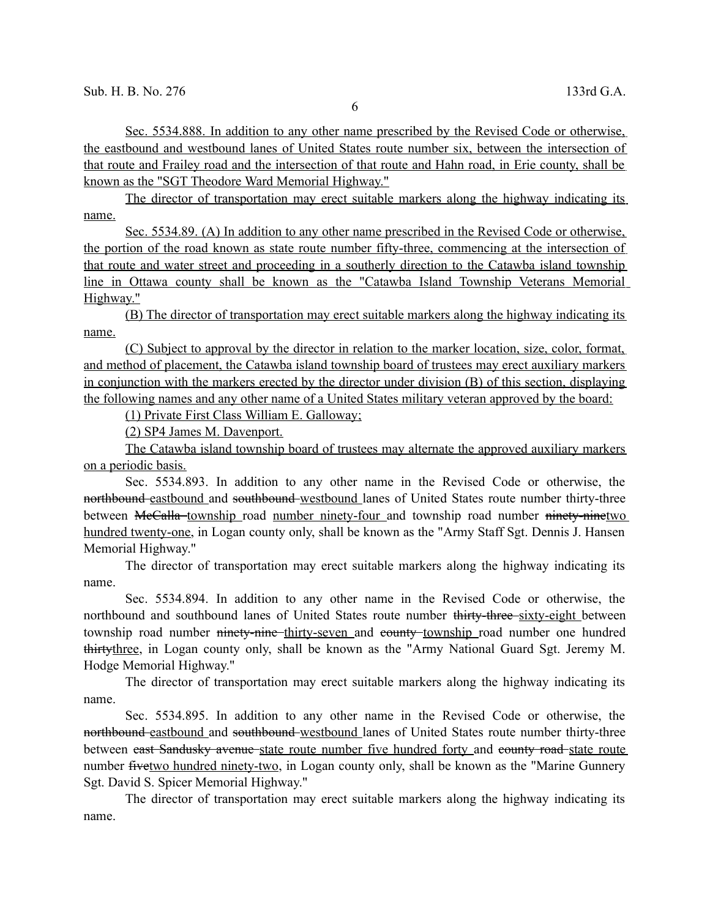Sec. 5534.888. In addition to any other name prescribed by the Revised Code or otherwise, the eastbound and westbound lanes of United States route number six, between the intersection of that route and Frailey road and the intersection of that route and Hahn road, in Erie county, shall be known as the "SGT Theodore Ward Memorial Highway."

The director of transportation may erect suitable markers along the highway indicating its name.

 Sec. 5534.89. (A) In addition to any other name prescribed in the Revised Code or otherwise, the portion of the road known as state route number fifty-three, commencing at the intersection of that route and water street and proceeding in a southerly direction to the Catawba island township line in Ottawa county shall be known as the "Catawba Island Township Veterans Memorial Highway."

(B) The director of transportation may erect suitable markers along the highway indicating its name.

(C) Subject to approval by the director in relation to the marker location, size, color, format, and method of placement, the Catawba island township board of trustees may erect auxiliary markers in conjunction with the markers erected by the director under division (B) of this section, displaying the following names and any other name of a United States military veteran approved by the board:

(1) Private First Class William E. Galloway;

(2) SP4 James M. Davenport.

The Catawba island township board of trustees may alternate the approved auxiliary markers on a periodic basis.

Sec. 5534.893. In addition to any other name in the Revised Code or otherwise, the northbound eastbound and southbound westbound lanes of United States route number thirty-three between McCalla township road number ninety-four and township road number ninety-ninetwo hundred twenty-one, in Logan county only, shall be known as the "Army Staff Sgt. Dennis J. Hansen Memorial Highway."

The director of transportation may erect suitable markers along the highway indicating its name.

Sec. 5534.894. In addition to any other name in the Revised Code or otherwise, the northbound and southbound lanes of United States route number thirty-three sixty-eight between township road number ninety-nine thirty-seven and county township road number one hundred thirtythree, in Logan county only, shall be known as the "Army National Guard Sgt. Jeremy M. Hodge Memorial Highway."

The director of transportation may erect suitable markers along the highway indicating its name.

Sec. 5534.895. In addition to any other name in the Revised Code or otherwise, the northbound eastbound and southbound westbound lanes of United States route number thirty-three between east Sandusky avenue state route number five hundred forty and eounty road state route number fivetwo hundred ninety-two, in Logan county only, shall be known as the "Marine Gunnery Sgt. David S. Spicer Memorial Highway."

The director of transportation may erect suitable markers along the highway indicating its name.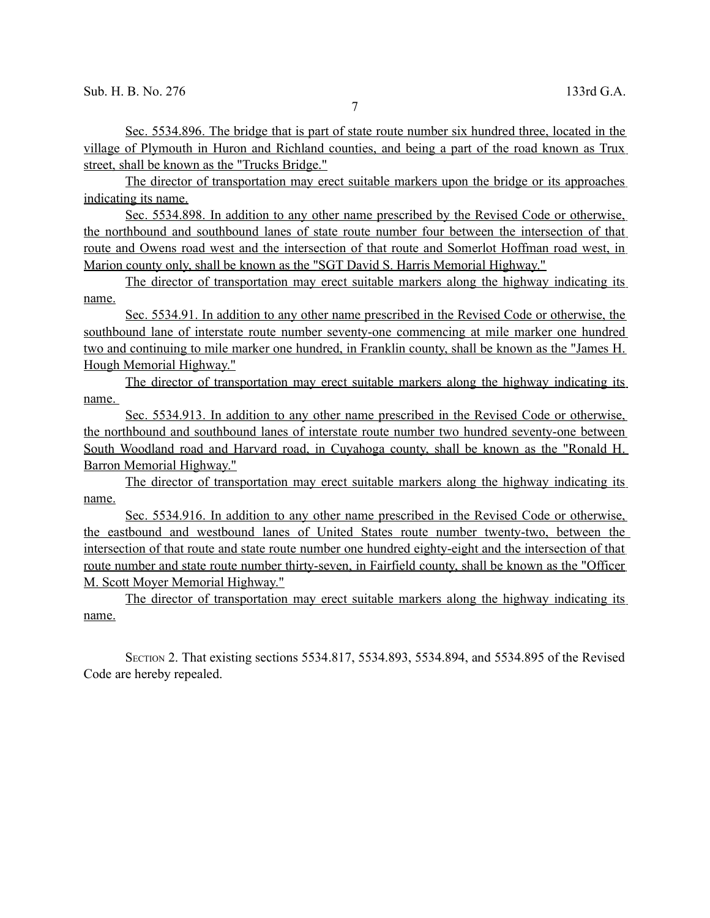Sec. 5534.896. The bridge that is part of state route number six hundred three, located in the village of Plymouth in Huron and Richland counties, and being a part of the road known as Trux street, shall be known as the "Trucks Bridge."

The director of transportation may erect suitable markers upon the bridge or its approaches indicating its name.

 Sec. 5534.898. In addition to any other name prescribed by the Revised Code or otherwise, the northbound and southbound lanes of state route number four between the intersection of that route and Owens road west and the intersection of that route and Somerlot Hoffman road west, in Marion county only, shall be known as the "SGT David S. Harris Memorial Highway."

The director of transportation may erect suitable markers along the highway indicating its name.

 Sec. 5534.91. In addition to any other name prescribed in the Revised Code or otherwise, the southbound lane of interstate route number seventy-one commencing at mile marker one hundred two and continuing to mile marker one hundred, in Franklin county, shall be known as the "James H. Hough Memorial Highway."

The director of transportation may erect suitable markers along the highway indicating its name.

 Sec. 5534.913. In addition to any other name prescribed in the Revised Code or otherwise, the northbound and southbound lanes of interstate route number two hundred seventy-one between South Woodland road and Harvard road, in Cuyahoga county, shall be known as the "Ronald H. Barron Memorial Highway."

The director of transportation may erect suitable markers along the highway indicating its name.

Sec. 5534.916. In addition to any other name prescribed in the Revised Code or otherwise, the eastbound and westbound lanes of United States route number twenty-two, between the intersection of that route and state route number one hundred eighty-eight and the intersection of that route number and state route number thirty-seven, in Fairfield county, shall be known as the "Officer M. Scott Moyer Memorial Highway."

The director of transportation may erect suitable markers along the highway indicating its name.

SECTION 2. That existing sections 5534.817, 5534.893, 5534.894, and 5534.895 of the Revised Code are hereby repealed.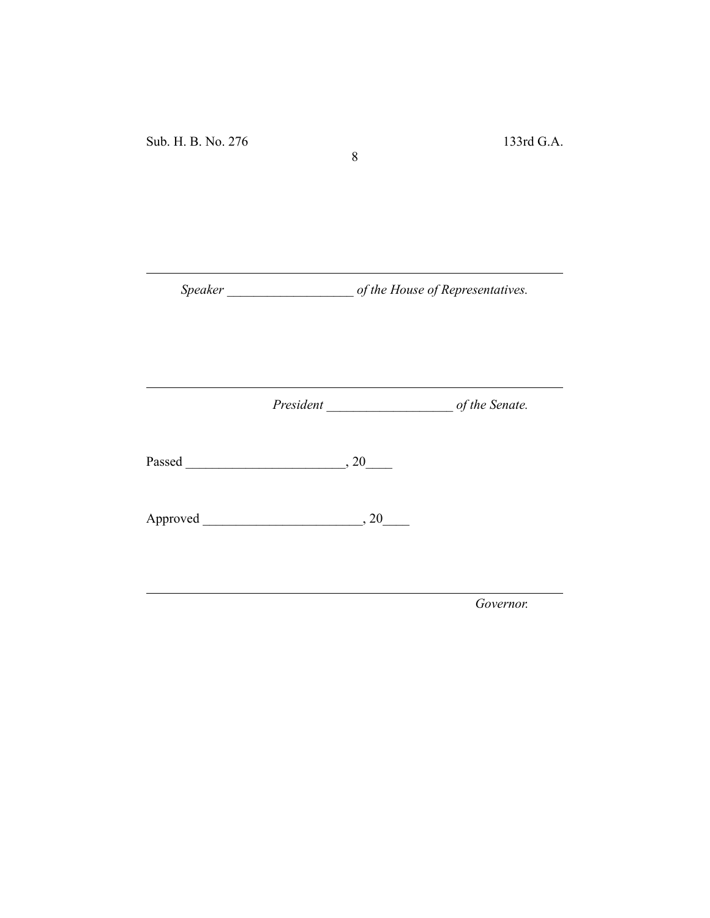*Speaker \_\_\_\_\_\_\_\_\_\_\_\_\_\_\_\_\_\_\_ of the House of Representatives.*

8

*President \_\_\_\_\_\_\_\_\_\_\_\_\_\_\_\_\_\_\_ of the Senate.*

Passed \_\_\_\_\_\_\_\_\_\_\_\_\_\_\_\_\_\_\_\_\_\_\_\_, 20\_\_\_\_

Approved \_\_\_\_\_\_\_\_\_\_\_\_\_\_\_\_\_\_\_\_\_\_\_\_, 20\_\_\_\_

*Governor.*